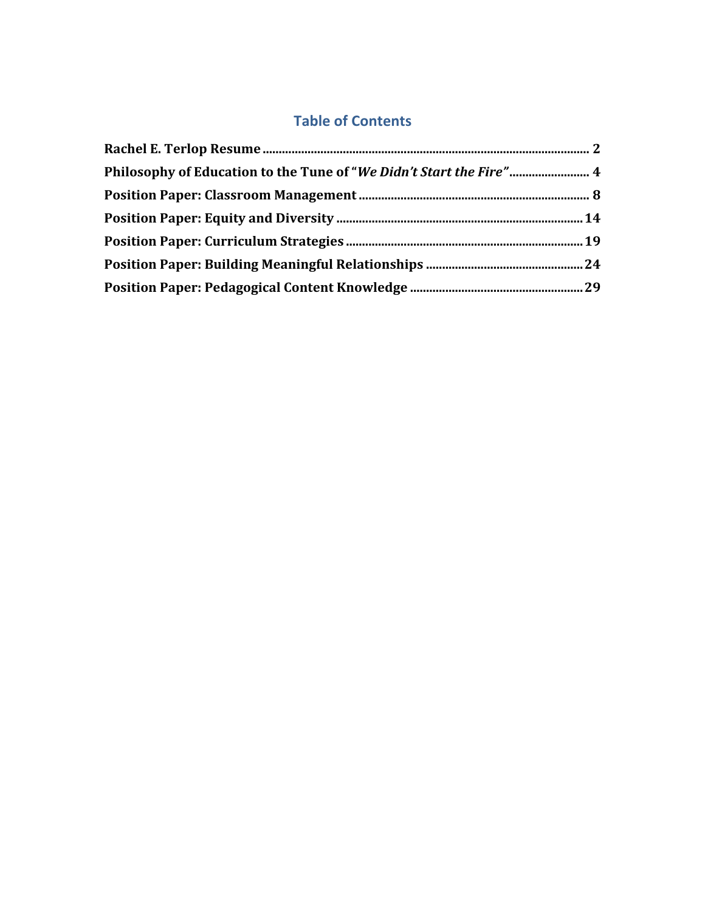# **Table of Contents**

| Philosophy of Education to the Tune of "We Didn't Start the Fire" 4 |  |
|---------------------------------------------------------------------|--|
|                                                                     |  |
|                                                                     |  |
|                                                                     |  |
|                                                                     |  |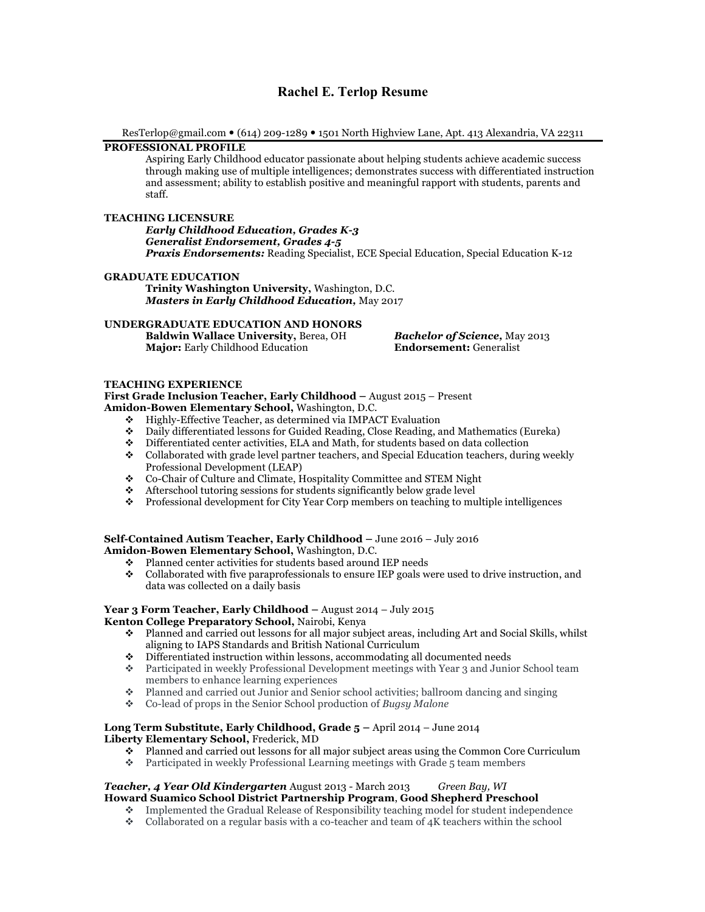## **Rachel E. Terlop Resume**

ResTerlop@gmail.com (614) 209-1289 1501 North Highview Lane, Apt. 413 Alexandria, VA 22311

### **PROFESSIONAL PROFILE**

Aspiring Early Childhood educator passionate about helping students achieve academic success through making use of multiple intelligences; demonstrates success with differentiated instruction and assessment; ability to establish positive and meaningful rapport with students, parents and staff.

#### **TEACHING LICENSURE**

*Early Childhood Education, Grades K-3 Generalist Endorsement, Grades 4-5 Praxis Endorsements:* Reading Specialist, ECE Special Education, Special Education K-12

#### **GRADUATE EDUCATION**

**Trinity Washington University,** Washington, D.C. *Masters in Early Childhood Education,* May 2017

#### **UNDERGRADUATE EDUCATION AND HONORS**

**Baldwin Wallace University, Berea, OH Bachelor of Science,** May 2013<br> **Major:** Early Childhood Education **Endorsement:** Generalist **Major:** Early Childhood Education

#### **TEACHING EXPERIENCE**

**First Grade Inclusion Teacher, Early Childhood –** August 2015 – Present **Amidon-Bowen Elementary School,** Washington, D.C.

- v Highly-Effective Teacher, as determined via IMPACT Evaluation
- v Daily differentiated lessons for Guided Reading, Close Reading, and Mathematics (Eureka)
- $\bullet$  Differentiated center activities, ELA and Math, for students based on data collection
- v Collaborated with grade level partner teachers, and Special Education teachers, during weekly Professional Development (LEAP)
- v Co-Chair of Culture and Climate, Hospitality Committee and STEM Night
- $\triangleleft$  Afterschool tutoring sessions for students significantly below grade level
- v Professional development for City Year Corp members on teaching to multiple intelligences

#### **Self-Contained Autism Teacher, Early Childhood –** June 2016 – July 2016 **Amidon-Bowen Elementary School,** Washington, D.C.

- v Planned center activities for students based around IEP needs
- $\bullet$  Collaborated with five paraprofessionals to ensure IEP goals were used to drive instruction, and data was collected on a daily basis

#### **Year 3 Form Teacher, Early Childhood –** August 2014 – July 2015 **Kenton College Preparatory School,** Nairobi, Kenya

- v Planned and carried out lessons for all major subject areas, including Art and Social Skills, whilst aligning to IAPS Standards and British National Curriculum
- $\bullet$  Differentiated instruction within lessons, accommodating all documented needs
- \* Participated in weekly Professional Development meetings with Year 3 and Junior School team members to enhance learning experiences
- v Planned and carried out Junior and Senior school activities; ballroom dancing and singing
- v Co-lead of props in the Senior School production of *Bugsy Malone*

#### **Long Term Substitute, Early Childhood, Grade 5 –** April 2014 – June 2014 **Liberty Elementary School,** Frederick, MD

- Planned and carried out lessons for all major subject areas using the Common Core Curriculum<br>Participated in weekly Professional Learning meetings with Grade 5 team members
- Participated in weekly Professional Learning meetings with Grade 5 team members

#### *Teacher, 4 Year Old Kindergarten* August 2013 - March 2013 *Green Bay, WI* **Howard Suamico School District Partnership Program**, **Good Shepherd Preschool**

- v Implemented the Gradual Release of Responsibility teaching model for student independence
- $\bullet$  Collaborated on a regular basis with a co-teacher and team of 4K teachers within the school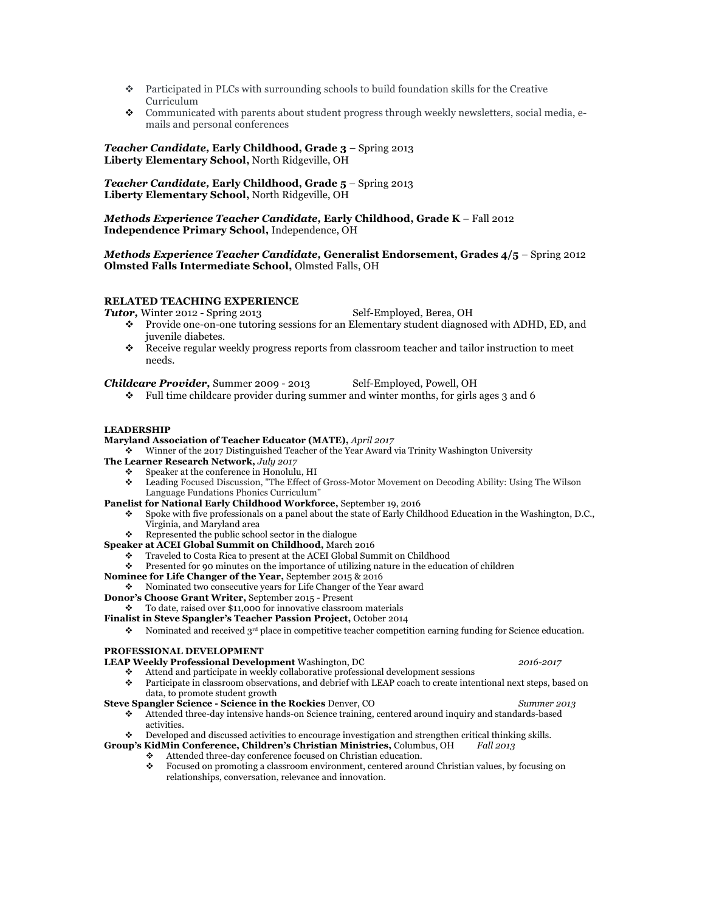- $\bullet$  Participated in PLCs with surrounding schools to build foundation skills for the Creative Curriculum
- v Communicated with parents about student progress through weekly newsletters, social media, emails and personal conferences

*Teacher Candidate,* **Early Childhood, Grade 3** – Spring 2013 **Liberty Elementary School,** North Ridgeville, OH

*Teacher Candidate,* **Early Childhood, Grade 5** – Spring 2013 **Liberty Elementary School,** North Ridgeville, OH

*Methods Experience Teacher Candidate,* **Early Childhood, Grade K** – Fall 2012 **Independence Primary School,** Independence, OH

#### *Methods Experience Teacher Candidate,* **Generalist Endorsement, Grades 4/5** – Spring 2012 **Olmsted Falls Intermediate School,** Olmsted Falls, OH

#### **RELATED TEACHING EXPERIENCE**

- **Tutor,** Winter 2012 Spring 2013 Self-Employed, Berea, OH
	- $\bullet$  Provide one-on-one tutoring sessions for an Elementary student diagnosed with ADHD, ED, and juvenile diabetes.
	- $\bullet$  Receive regular weekly progress reports from classroom teacher and tailor instruction to meet needs.

*Childcare Provider,* Summer 2009 - 2013 Self-Employed, Powell, OH

 $\div$  Full time childcare provider during summer and winter months, for girls ages 3 and 6

#### **LEADERSHIP**

#### **Maryland Association of Teacher Educator (MATE),** *April 2017*

v Winner of the 2017 Distinguished Teacher of the Year Award via Trinity Washington University

- **The Learner Research Network,** *July 2017*
	- $\div$  Speaker at the conference in Honolulu, HI
		- v Leading Focused Discussion, "The Effect of Gross-Motor Movement on Decoding Ability: Using The Wilson Language Fundations Phonics Curriculum"
- **Panelist for National Early Childhood Workforce,** September 19, 2016
	- v Spoke with five professionals on a panel about the state of Early Childhood Education in the Washington, D.C., Virginia, and Maryland area
- Represented the public school sector in the dialogue
- **Speaker at ACEI Global Summit on Childhood,** March 2016
	- \* Traveled to Costa Rica to present at the ACEI Global Summit on Childhood
	- $\bullet$  Presented for 90 minutes on the importance of utilizing nature in the education of children
- **Nominee for Life Changer of the Year,** September 2015 & 2016
- v Nominated two consecutive years for Life Changer of the Year award
- **Donor's Choose Grant Writer,** September 2015 Present

### To date, raised over \$11,000 for innovative classroom materials

#### **Finalist in Steve Spangler's Teacher Passion Project,** October 2014

 $\bullet$  Nominated and received 3<sup>rd</sup> place in competitive teacher competition earning funding for Science education.

### **PROFESSIONAL DEVELOPMENT**

- **LEAP Weekly Professional Development** Washington, DC *2016-2017*
	- Attend and participate in weekly collaborative professional development sessions<br>Participate in classroom observations, and debrief with LEAP coach to create inter-Participate in classroom observations, and debrief with LEAP coach to create intentional next steps, based on data, to promote student growth

#### **Steve Spangler Science - Science in the Rockies** Denver, CO *Summer 2013*

- v Attended three-day intensive hands-on Science training, centered around inquiry and standards-based activities.
- **•** Developed and discussed activities to encourage investigation and strengthen critical thinking skills.<br> **ID's KidMin Conference, Children's Christian Ministries, Columbus, OH** Fall 2013

**Group's KidMin Conference, Children's Christian Ministries,** Columbus, OH *Fall 2013*

- **◆** Attended three-day conference focused on Christian education.<br>► Focused on promoting a classroom environment, centered arou
	- Focused on promoting a classroom environment, centered around Christian values, by focusing on relationships, conversation, relevance and innovation.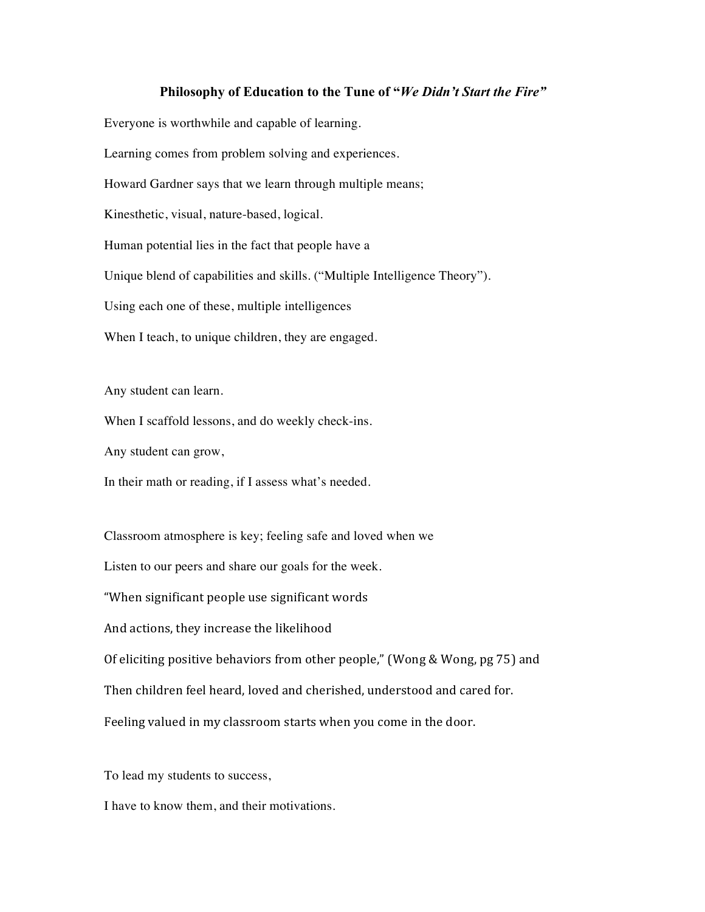### **Philosophy of Education to the Tune of "***We Didn't Start the Fire"*

Everyone is worthwhile and capable of learning.

Learning comes from problem solving and experiences.

Howard Gardner says that we learn through multiple means;

Kinesthetic, visual, nature-based, logical.

Human potential lies in the fact that people have a

Unique blend of capabilities and skills. ("Multiple Intelligence Theory").

Using each one of these, multiple intelligences

When I teach, to unique children, they are engaged.

Any student can learn.

When I scaffold lessons, and do weekly check-ins.

Any student can grow,

In their math or reading, if I assess what's needed.

Classroom atmosphere is key; feeling safe and loved when we

Listen to our peers and share our goals for the week.

"When significant people use significant words

And actions, they increase the likelihood

Of eliciting positive behaviors from other people," (Wong & Wong, pg 75) and

Then children feel heard, loved and cherished, understood and cared for.

Feeling valued in my classroom starts when you come in the door.

To lead my students to success,

I have to know them, and their motivations.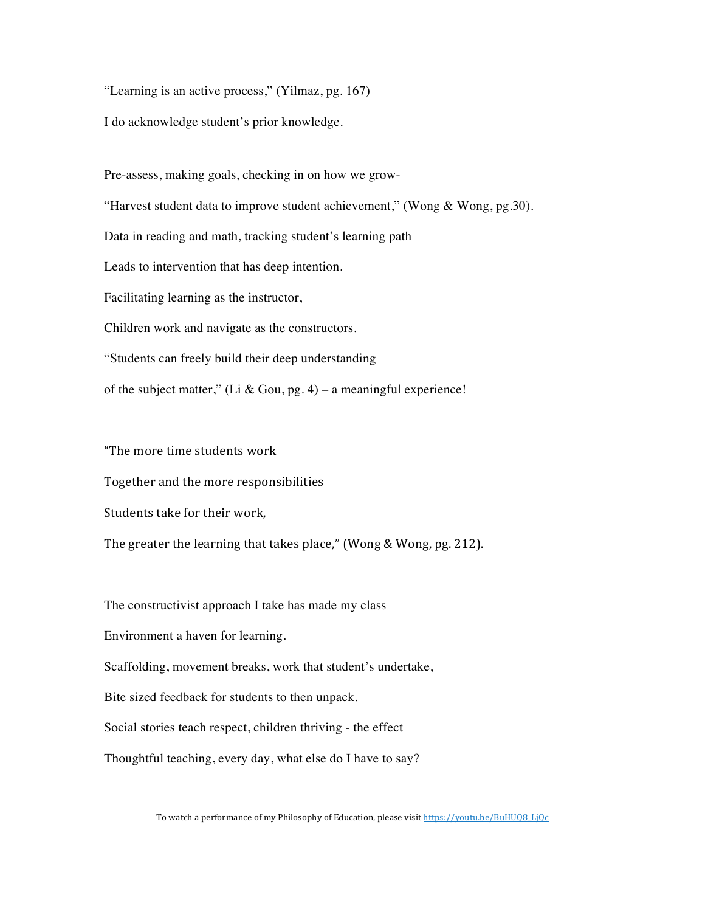"Learning is an active process," (Yilmaz, pg. 167)

I do acknowledge student's prior knowledge.

Pre-assess, making goals, checking in on how we grow- "Harvest student data to improve student achievement," (Wong & Wong, pg.30). Data in reading and math, tracking student's learning path Leads to intervention that has deep intention.

Facilitating learning as the instructor,

Children work and navigate as the constructors.

"Students can freely build their deep understanding

of the subject matter," (Li & Gou, pg. 4) – a meaningful experience!

"The more time students work

Together and the more responsibilities

Students take for their work,

The greater the learning that takes place," (Wong & Wong, pg. 212).

The constructivist approach I take has made my class

Environment a haven for learning.

Scaffolding, movement breaks, work that student's undertake,

Bite sized feedback for students to then unpack.

Social stories teach respect, children thriving - the effect

Thoughtful teaching, every day, what else do I have to say?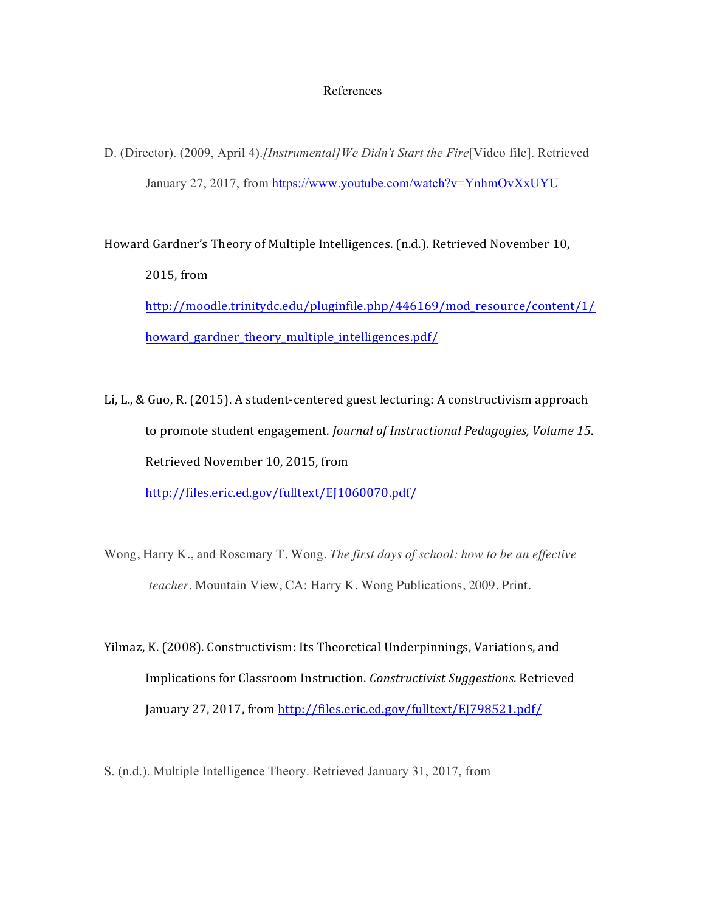### References

D. (Director). (2009, April 4).*[Instrumental]We Didn't Start the Fire*[Video file]. Retrieved January 27, 2017, from https://www.youtube.com/watch?v=YnhmOvXxUYU

Howard Gardner's Theory of Multiple Intelligences. (n.d.). Retrieved November 10, 2015, from http://moodle.trinitydc.edu/pluginfile.php/446169/mod\_resource/content/1/ howard\_gardner\_theory\_multiple\_intelligences.pdf/

Li, L., & Guo, R. (2015). A student-centered guest lecturing: A constructivism approach to promote student engagement. *Journal of Instructional Pedagogies, Volume 15*. Retrieved November 10, 2015, from http://files.eric.ed.gov/fulltext/EJ1060070.pdf/

- Wong, Harry K., and Rosemary T. Wong. *The first days of school: how to be an effective teacher*. Mountain View, CA: Harry K. Wong Publications, 2009. Print.
- Yilmaz, K. (2008). Constructivism: Its Theoretical Underpinnings, Variations, and Implications for Classroom Instruction. *Constructivist Suggestions*. Retrieved January 27, 2017, from http://files.eric.ed.gov/fulltext/EJ798521.pdf/
- S. (n.d.). Multiple Intelligence Theory. Retrieved January 31, 2017, from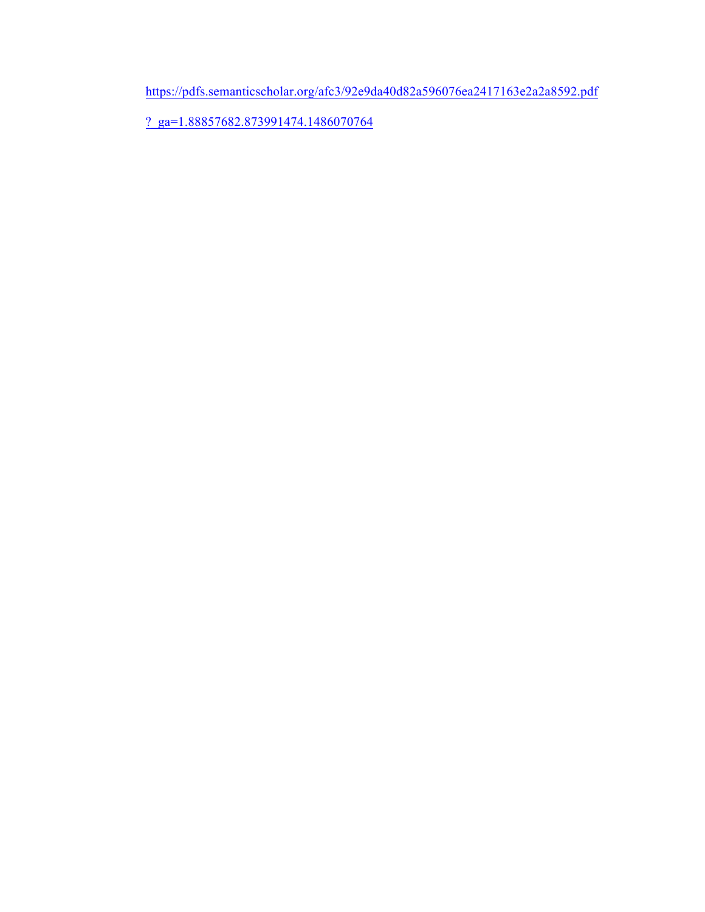https://pdfs.semanticscholar.org/afc3/92e9da40d82a596076ea2417163e2a2a8592.pdf

?\_ga=1.88857682.873991474.1486070764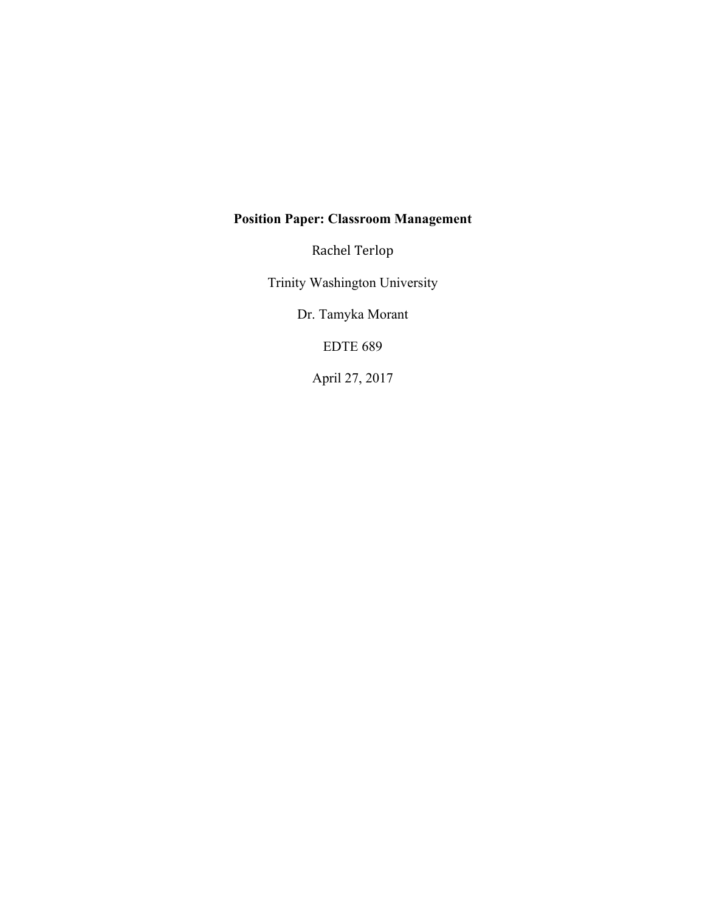# **Position Paper: Classroom Management**

Rachel Terlop

Trinity Washington University

Dr. Tamyka Morant

EDTE 689

April 27, 2017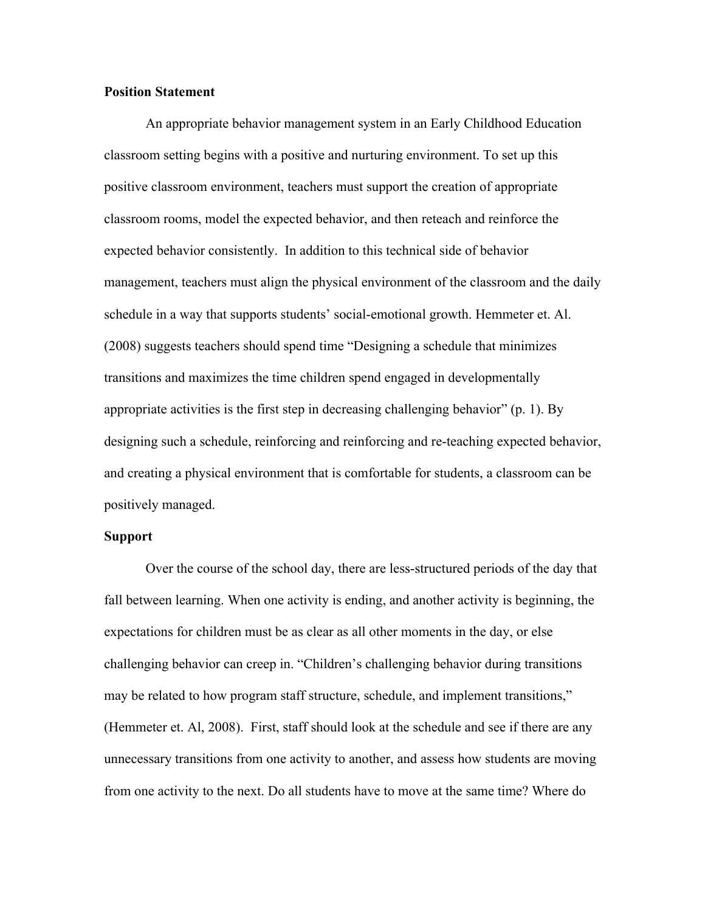### **Position Statement**

An appropriate behavior management system in an Early Childhood Education classroom setting begins with a positive and nurturing environment. To set up this positive classroom environment, teachers must support the creation of appropriate classroom rooms, model the expected behavior, and then reteach and reinforce the expected behavior consistently. In addition to this technical side of behavior management, teachers must align the physical environment of the classroom and the daily schedule in a way that supports students' social-emotional growth. Hemmeter et. Al. (2008) suggests teachers should spend time "Designing a schedule that minimizes transitions and maximizes the time children spend engaged in developmentally appropriate activities is the first step in decreasing challenging behavior" (p. 1). By designing such a schedule, reinforcing and reinforcing and re-teaching expected behavior, and creating a physical environment that is comfortable for students, a classroom can be positively managed.

## **Support**

Over the course of the school day, there are less-structured periods of the day that fall between learning. When one activity is ending, and another activity is beginning, the expectations for children must be as clear as all other moments in the day, or else challenging behavior can creep in. "Children's challenging behavior during transitions may be related to how program staff structure, schedule, and implement transitions," (Hemmeter et. Al, 2008). First, staff should look at the schedule and see if there are any unnecessary transitions from one activity to another, and assess how students are moving from one activity to the next. Do all students have to move at the same time? Where do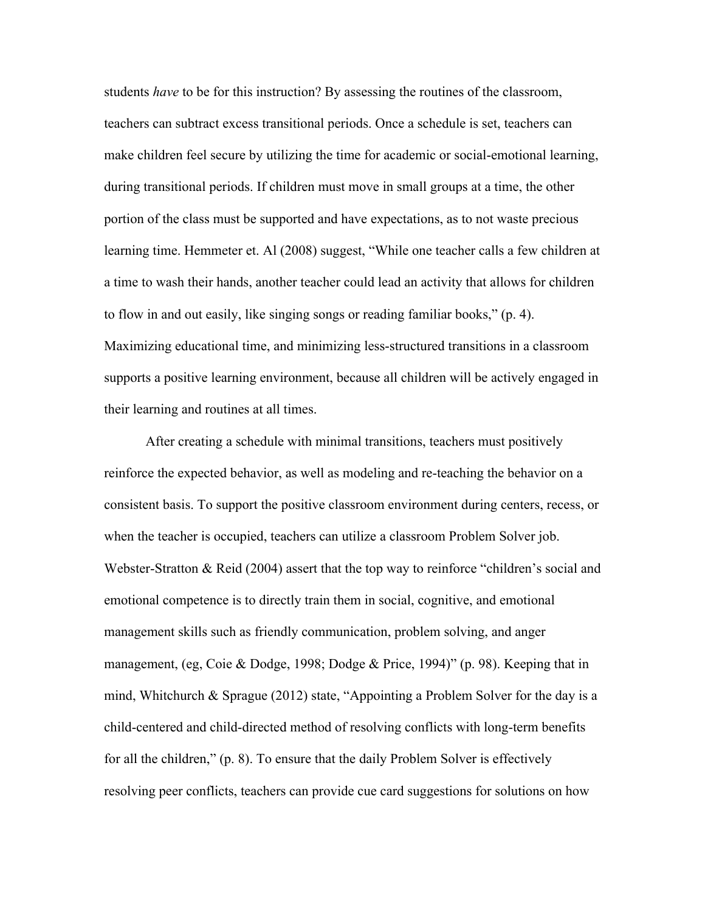students *have* to be for this instruction? By assessing the routines of the classroom, teachers can subtract excess transitional periods. Once a schedule is set, teachers can make children feel secure by utilizing the time for academic or social-emotional learning, during transitional periods. If children must move in small groups at a time, the other portion of the class must be supported and have expectations, as to not waste precious learning time. Hemmeter et. Al (2008) suggest, "While one teacher calls a few children at a time to wash their hands, another teacher could lead an activity that allows for children to flow in and out easily, like singing songs or reading familiar books," (p. 4). Maximizing educational time, and minimizing less-structured transitions in a classroom supports a positive learning environment, because all children will be actively engaged in their learning and routines at all times.

After creating a schedule with minimal transitions, teachers must positively reinforce the expected behavior, as well as modeling and re-teaching the behavior on a consistent basis. To support the positive classroom environment during centers, recess, or when the teacher is occupied, teachers can utilize a classroom Problem Solver job. Webster-Stratton & Reid (2004) assert that the top way to reinforce "children's social and emotional competence is to directly train them in social, cognitive, and emotional management skills such as friendly communication, problem solving, and anger management, (eg, Coie & Dodge, 1998; Dodge & Price, 1994)" (p. 98). Keeping that in mind, Whitchurch & Sprague (2012) state, "Appointing a Problem Solver for the day is a child-centered and child-directed method of resolving conflicts with long-term benefits for all the children," (p. 8). To ensure that the daily Problem Solver is effectively resolving peer conflicts, teachers can provide cue card suggestions for solutions on how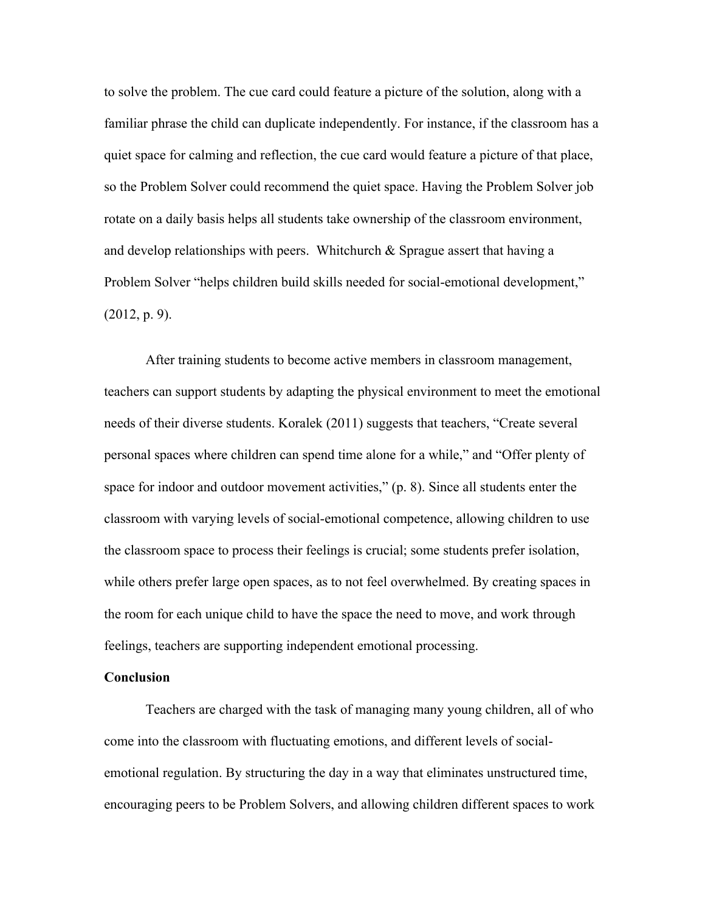to solve the problem. The cue card could feature a picture of the solution, along with a familiar phrase the child can duplicate independently. For instance, if the classroom has a quiet space for calming and reflection, the cue card would feature a picture of that place, so the Problem Solver could recommend the quiet space. Having the Problem Solver job rotate on a daily basis helps all students take ownership of the classroom environment, and develop relationships with peers. Whitchurch  $\&$  Sprague assert that having a Problem Solver "helps children build skills needed for social-emotional development,"  $(2012, p. 9)$ .

After training students to become active members in classroom management, teachers can support students by adapting the physical environment to meet the emotional needs of their diverse students. Koralek (2011) suggests that teachers, "Create several personal spaces where children can spend time alone for a while," and "Offer plenty of space for indoor and outdoor movement activities," (p. 8). Since all students enter the classroom with varying levels of social-emotional competence, allowing children to use the classroom space to process their feelings is crucial; some students prefer isolation, while others prefer large open spaces, as to not feel overwhelmed. By creating spaces in the room for each unique child to have the space the need to move, and work through feelings, teachers are supporting independent emotional processing.

### **Conclusion**

Teachers are charged with the task of managing many young children, all of who come into the classroom with fluctuating emotions, and different levels of socialemotional regulation. By structuring the day in a way that eliminates unstructured time, encouraging peers to be Problem Solvers, and allowing children different spaces to work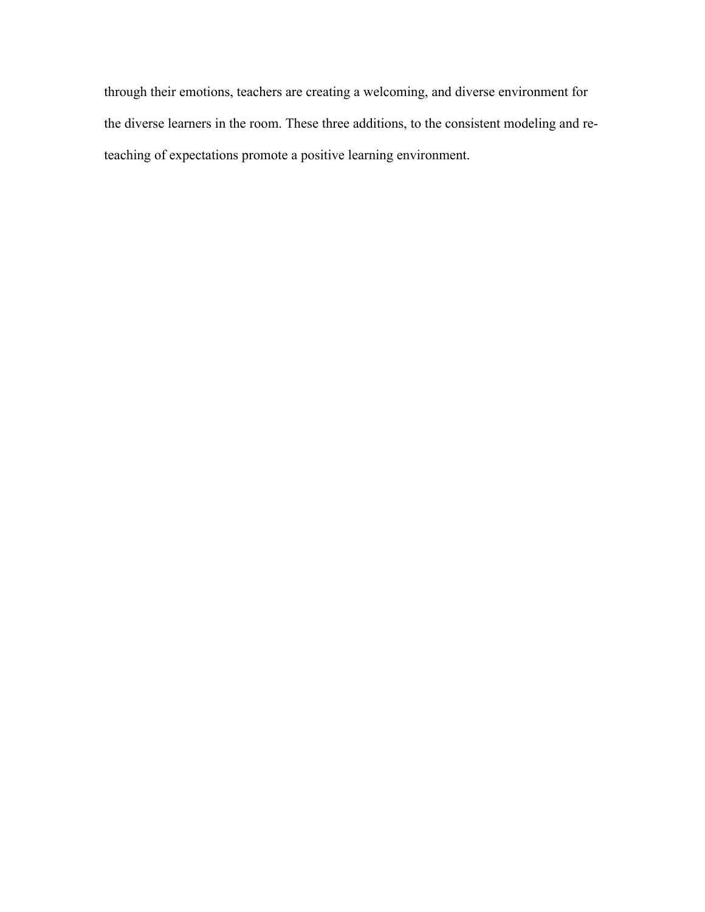through their emotions, teachers are creating a welcoming, and diverse environment for the diverse learners in the room. These three additions, to the consistent modeling and reteaching of expectations promote a positive learning environment.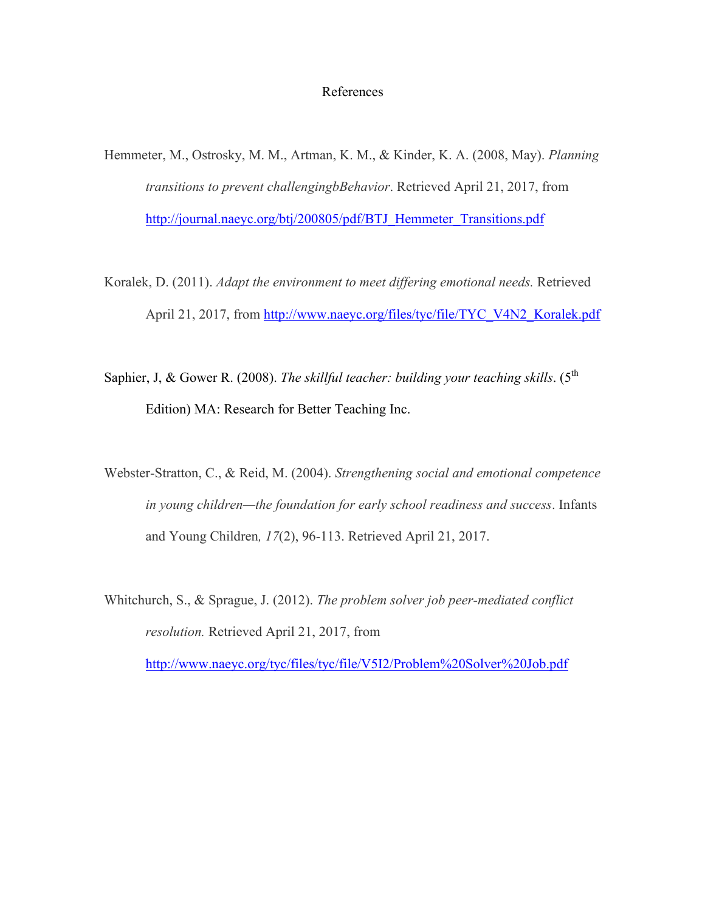## References

- Hemmeter, M., Ostrosky, M. M., Artman, K. M., & Kinder, K. A. (2008, May). *Planning transitions to prevent challengingbBehavior*. Retrieved April 21, 2017, from http://journal.naeyc.org/btj/200805/pdf/BTJ\_Hemmeter\_Transitions.pdf
- Koralek, D. (2011). *Adapt the environment to meet differing emotional needs.* Retrieved April 21, 2017, from http://www.naeyc.org/files/tyc/file/TYC\_V4N2\_Koralek.pdf
- Saphier, J, & Gower R. (2008). *The skillful teacher: building your teaching skills*. (5<sup>th</sup> Edition) MA: Research for Better Teaching Inc.
- Webster-Stratton, C., & Reid, M. (2004). *Strengthening social and emotional competence in young children—the foundation for early school readiness and success*. Infants and Young Children*, 17*(2), 96-113. Retrieved April 21, 2017.
- Whitchurch, S., & Sprague, J. (2012). *The problem solver job peer-mediated conflict resolution.* Retrieved April 21, 2017, from http://www.naeyc.org/tyc/files/tyc/file/V5I2/Problem%20Solver%20Job.pdf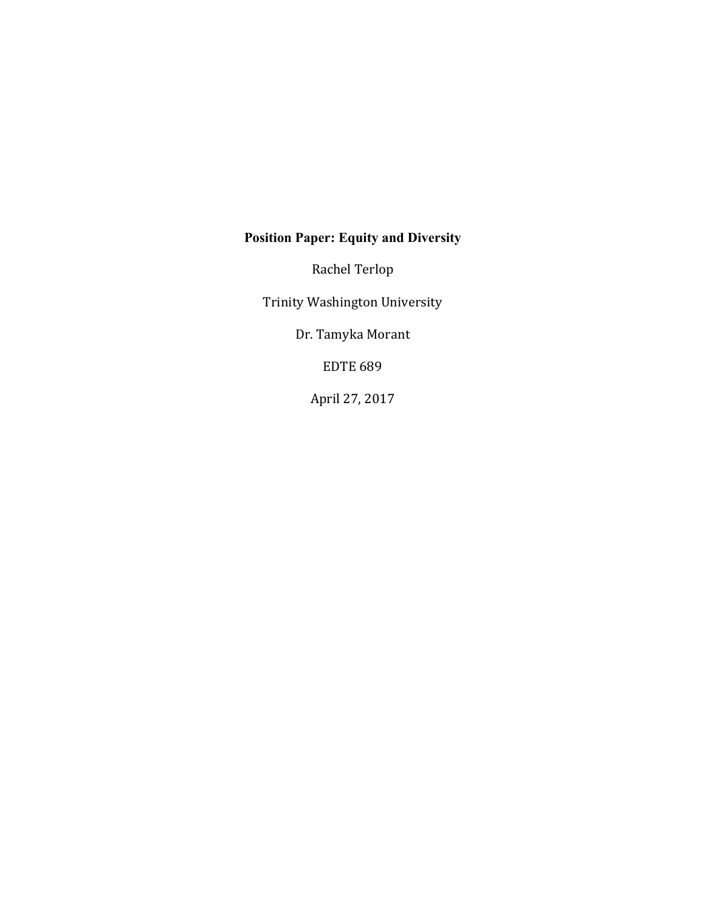# **Position Paper: Equity and Diversity**

Rachel Terlop

Trinity Washington University

Dr. Tamyka Morant

**EDTE 689** 

April 27, 2017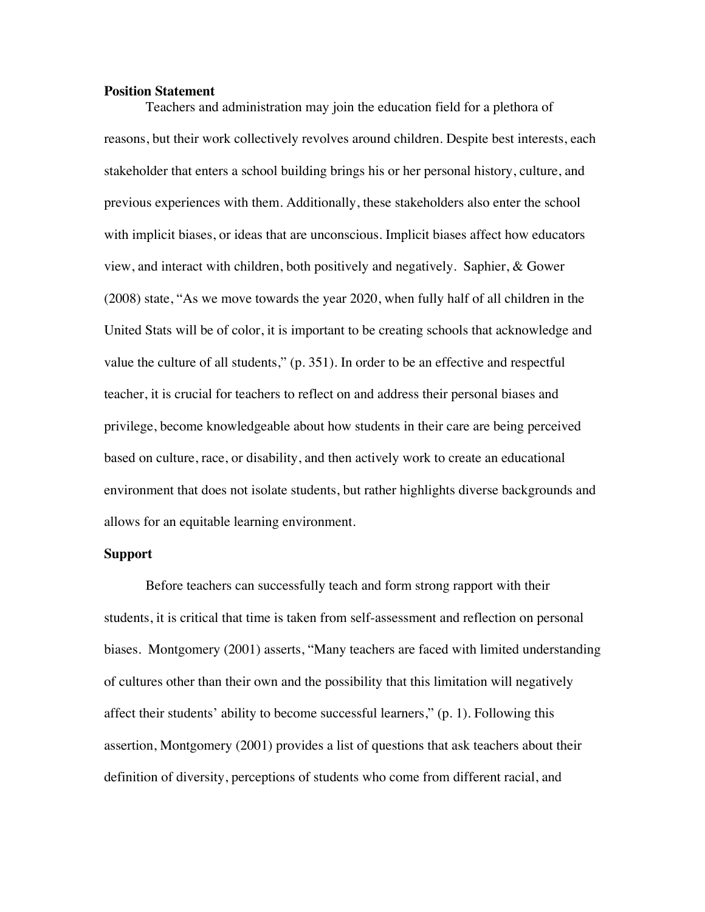### **Position Statement**

Teachers and administration may join the education field for a plethora of reasons, but their work collectively revolves around children. Despite best interests, each stakeholder that enters a school building brings his or her personal history, culture, and previous experiences with them. Additionally, these stakeholders also enter the school with implicit biases, or ideas that are unconscious. Implicit biases affect how educators view, and interact with children, both positively and negatively. Saphier, & Gower (2008) state, "As we move towards the year 2020, when fully half of all children in the United Stats will be of color, it is important to be creating schools that acknowledge and value the culture of all students," (p. 351). In order to be an effective and respectful teacher, it is crucial for teachers to reflect on and address their personal biases and privilege, become knowledgeable about how students in their care are being perceived based on culture, race, or disability, and then actively work to create an educational environment that does not isolate students, but rather highlights diverse backgrounds and allows for an equitable learning environment.

#### **Support**

Before teachers can successfully teach and form strong rapport with their students, it is critical that time is taken from self-assessment and reflection on personal biases. Montgomery (2001) asserts, "Many teachers are faced with limited understanding of cultures other than their own and the possibility that this limitation will negatively affect their students' ability to become successful learners," (p. 1). Following this assertion, Montgomery (2001) provides a list of questions that ask teachers about their definition of diversity, perceptions of students who come from different racial, and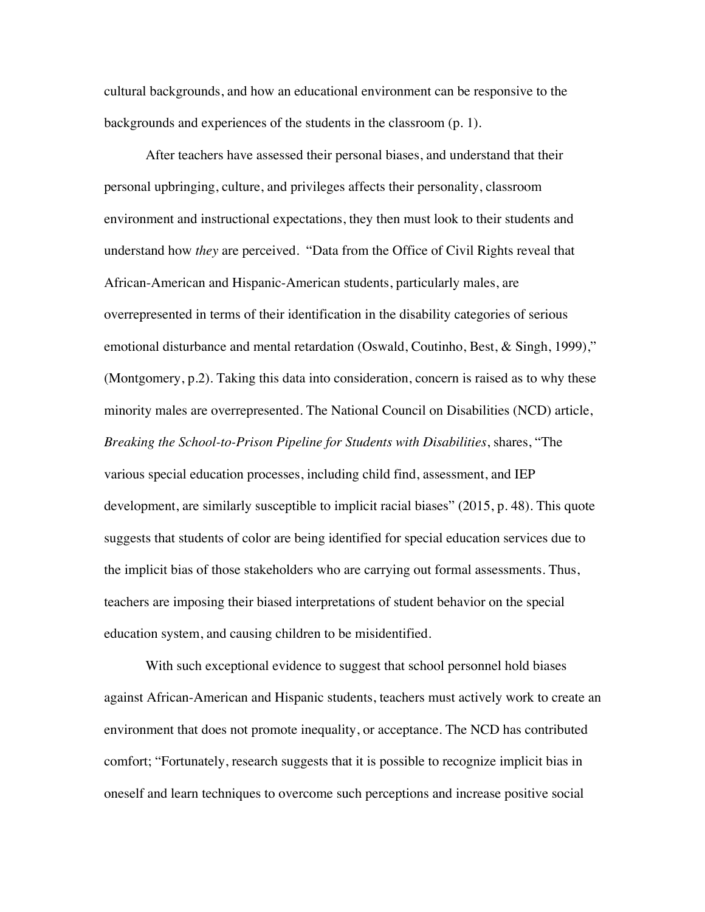cultural backgrounds, and how an educational environment can be responsive to the backgrounds and experiences of the students in the classroom (p. 1).

After teachers have assessed their personal biases, and understand that their personal upbringing, culture, and privileges affects their personality, classroom environment and instructional expectations, they then must look to their students and understand how *they* are perceived. "Data from the Office of Civil Rights reveal that African-American and Hispanic-American students, particularly males, are overrepresented in terms of their identification in the disability categories of serious emotional disturbance and mental retardation (Oswald, Coutinho, Best, & Singh, 1999)," (Montgomery, p.2). Taking this data into consideration, concern is raised as to why these minority males are overrepresented. The National Council on Disabilities (NCD) article, *Breaking the School-to-Prison Pipeline for Students with Disabilities*, shares, "The various special education processes, including child find, assessment, and IEP development, are similarly susceptible to implicit racial biases" (2015, p. 48). This quote suggests that students of color are being identified for special education services due to the implicit bias of those stakeholders who are carrying out formal assessments. Thus, teachers are imposing their biased interpretations of student behavior on the special education system, and causing children to be misidentified.

With such exceptional evidence to suggest that school personnel hold biases against African-American and Hispanic students, teachers must actively work to create an environment that does not promote inequality, or acceptance. The NCD has contributed comfort; "Fortunately, research suggests that it is possible to recognize implicit bias in oneself and learn techniques to overcome such perceptions and increase positive social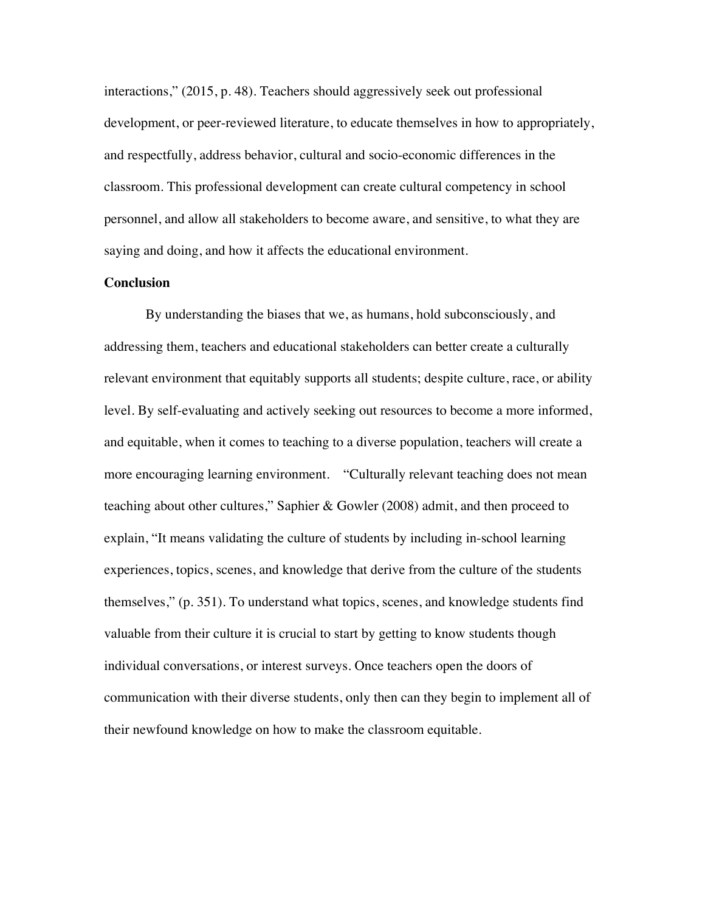interactions," (2015, p. 48). Teachers should aggressively seek out professional development, or peer-reviewed literature, to educate themselves in how to appropriately, and respectfully, address behavior, cultural and socio-economic differences in the classroom. This professional development can create cultural competency in school personnel, and allow all stakeholders to become aware, and sensitive, to what they are saying and doing, and how it affects the educational environment.

### **Conclusion**

By understanding the biases that we, as humans, hold subconsciously, and addressing them, teachers and educational stakeholders can better create a culturally relevant environment that equitably supports all students; despite culture, race, or ability level. By self-evaluating and actively seeking out resources to become a more informed, and equitable, when it comes to teaching to a diverse population, teachers will create a more encouraging learning environment. "Culturally relevant teaching does not mean teaching about other cultures," Saphier & Gowler (2008) admit, and then proceed to explain, "It means validating the culture of students by including in-school learning experiences, topics, scenes, and knowledge that derive from the culture of the students themselves," (p. 351). To understand what topics, scenes, and knowledge students find valuable from their culture it is crucial to start by getting to know students though individual conversations, or interest surveys. Once teachers open the doors of communication with their diverse students, only then can they begin to implement all of their newfound knowledge on how to make the classroom equitable.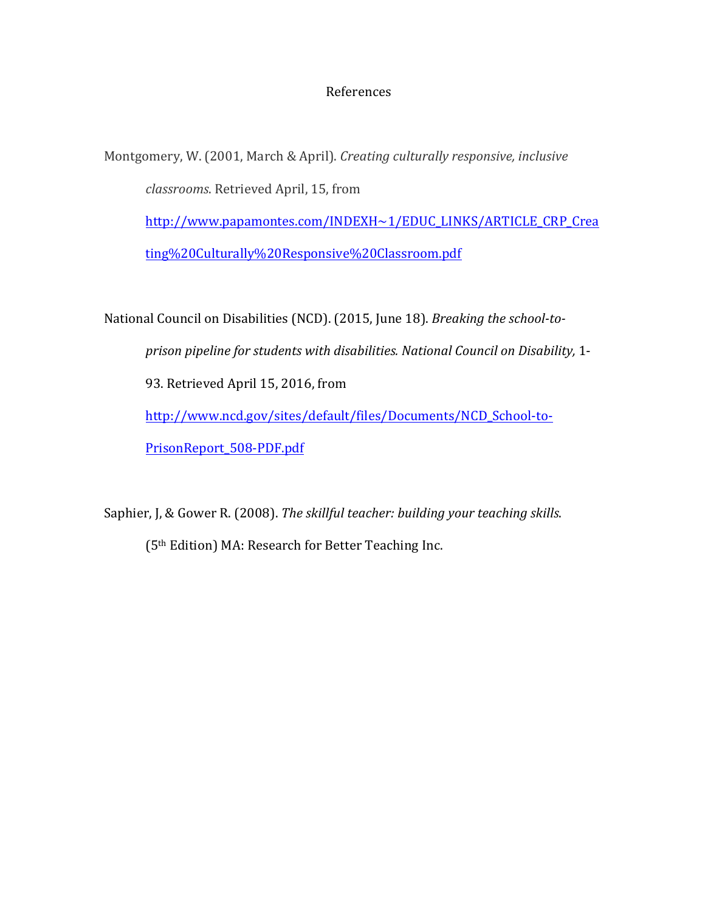## **References**

Montgomery, W. (2001, March & April). *Creating culturally responsive, inclusive classrooms*. Retrieved April, 15, from http://www.papamontes.com/INDEXH~1/EDUC\_LINKS/ARTICLE\_CRP\_Crea ting%20Culturally%20Responsive%20Classroom.pdf

National Council on Disabilities (NCD). (2015, June 18). *Breaking the school-toprison pipeline for students with disabilities. National Council on Disability,* 1- 93. Retrieved April 15, 2016, from http://www.ncd.gov/sites/default/files/Documents/NCD\_School-to-PrisonReport\_508-PDF.pdf

Saphier, J, & Gower R. (2008). *The skillful teacher: building your teaching skills.* (5<sup>th</sup> Edition) MA: Research for Better Teaching Inc.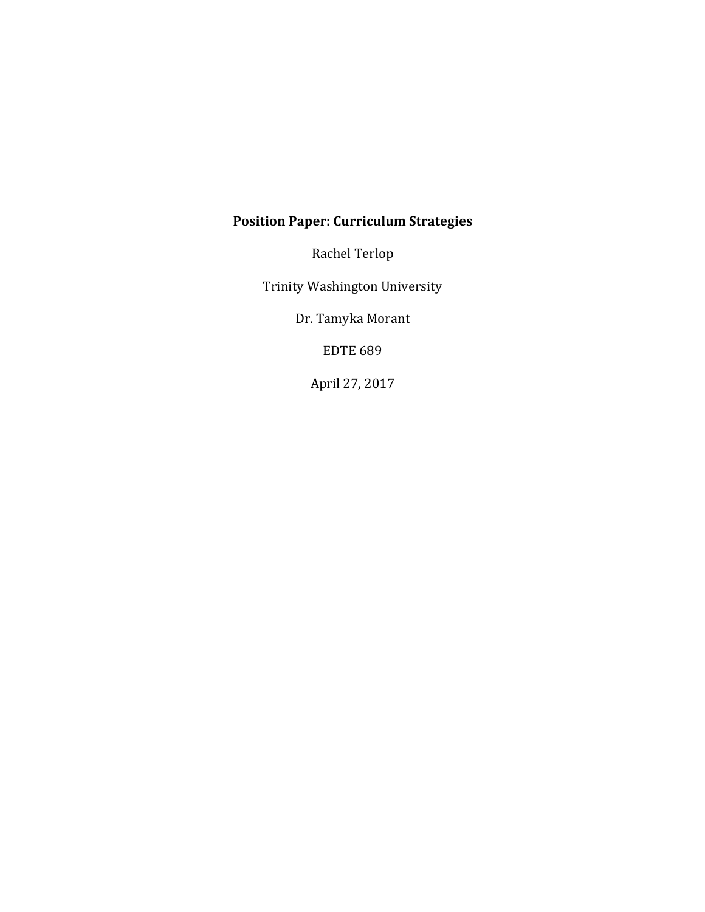# **Position Paper: Curriculum Strategies**

Rachel Terlop

Trinity Washington University

Dr. Tamyka Morant

**EDTE 689** 

April 27, 2017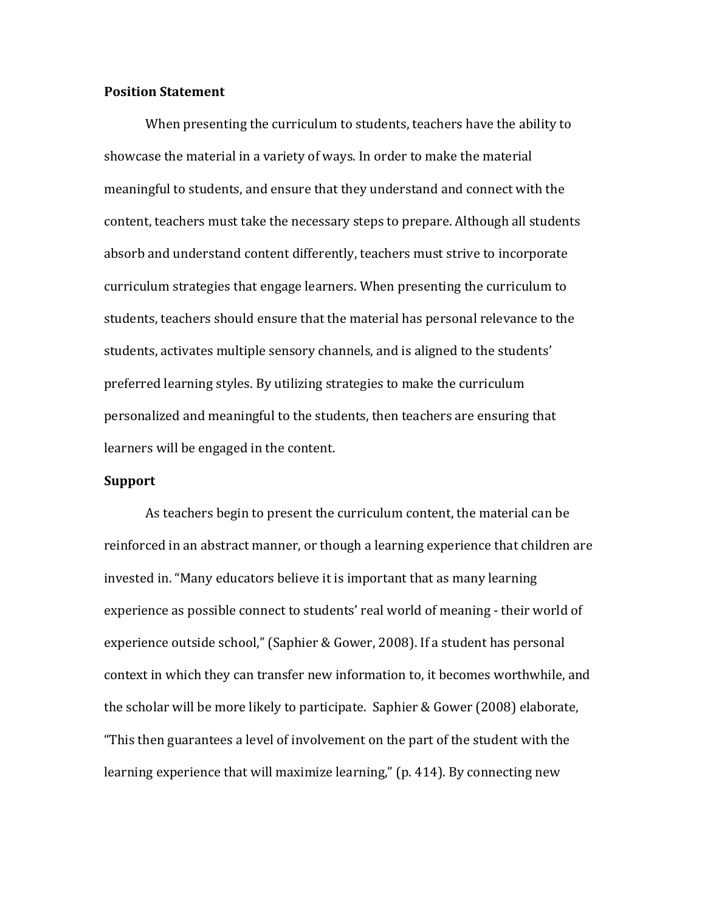### **Position Statement**

When presenting the curriculum to students, teachers have the ability to showcase the material in a variety of ways. In order to make the material meaningful to students, and ensure that they understand and connect with the content, teachers must take the necessary steps to prepare. Although all students absorb and understand content differently, teachers must strive to incorporate curriculum strategies that engage learners. When presenting the curriculum to students, teachers should ensure that the material has personal relevance to the students, activates multiple sensory channels, and is aligned to the students' preferred learning styles. By utilizing strategies to make the curriculum personalized and meaningful to the students, then teachers are ensuring that learners will be engaged in the content.

### **Support**

As teachers begin to present the curriculum content, the material can be reinforced in an abstract manner, or though a learning experience that children are invested in. "Many educators believe it is important that as many learning experience as possible connect to students' real world of meaning - their world of experience outside school," (Saphier & Gower, 2008). If a student has personal context in which they can transfer new information to, it becomes worthwhile, and the scholar will be more likely to participate. Saphier & Gower (2008) elaborate, "This then guarantees a level of involvement on the part of the student with the learning experience that will maximize learning," (p. 414). By connecting new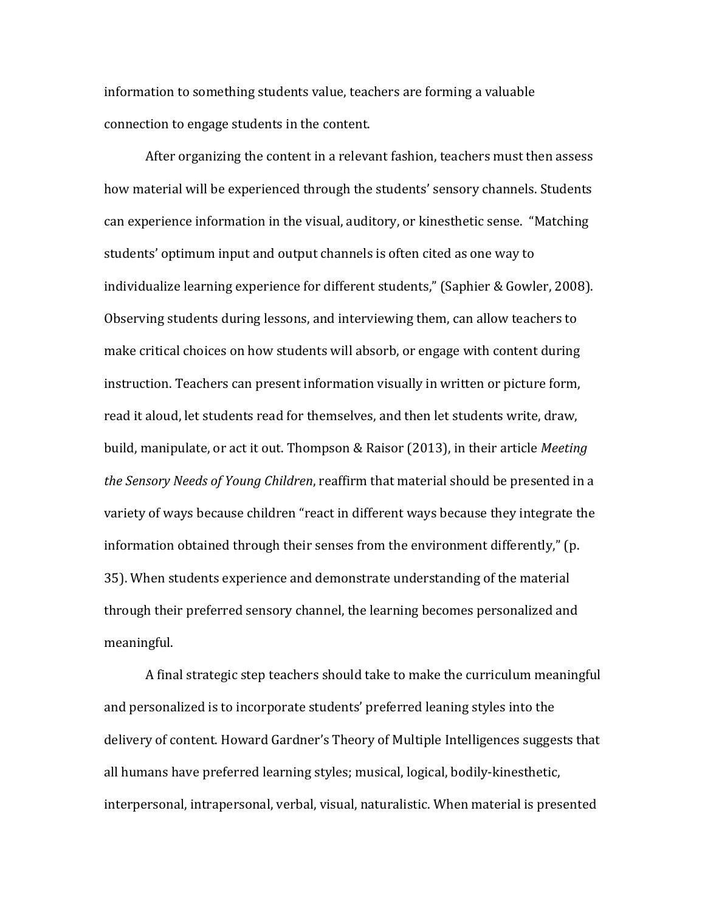information to something students value, teachers are forming a valuable connection to engage students in the content.

After organizing the content in a relevant fashion, teachers must then assess how material will be experienced through the students' sensory channels. Students can experience information in the visual, auditory, or kinesthetic sense. "Matching students' optimum input and output channels is often cited as one way to individualize learning experience for different students," (Saphier & Gowler, 2008). Observing students during lessons, and interviewing them, can allow teachers to make critical choices on how students will absorb, or engage with content during instruction. Teachers can present information visually in written or picture form, read it aloud, let students read for themselves, and then let students write, draw, build, manipulate, or act it out. Thompson & Raisor (2013), in their article Meeting *the Sensory Needs of Young Children,* reaffirm that material should be presented in a variety of ways because children "react in different ways because they integrate the information obtained through their senses from the environment differently," (p. 35). When students experience and demonstrate understanding of the material through their preferred sensory channel, the learning becomes personalized and meaningful. 

A final strategic step teachers should take to make the curriculum meaningful and personalized is to incorporate students' preferred leaning styles into the delivery of content. Howard Gardner's Theory of Multiple Intelligences suggests that all humans have preferred learning styles; musical, logical, bodily-kinesthetic, interpersonal, intrapersonal, verbal, visual, naturalistic. When material is presented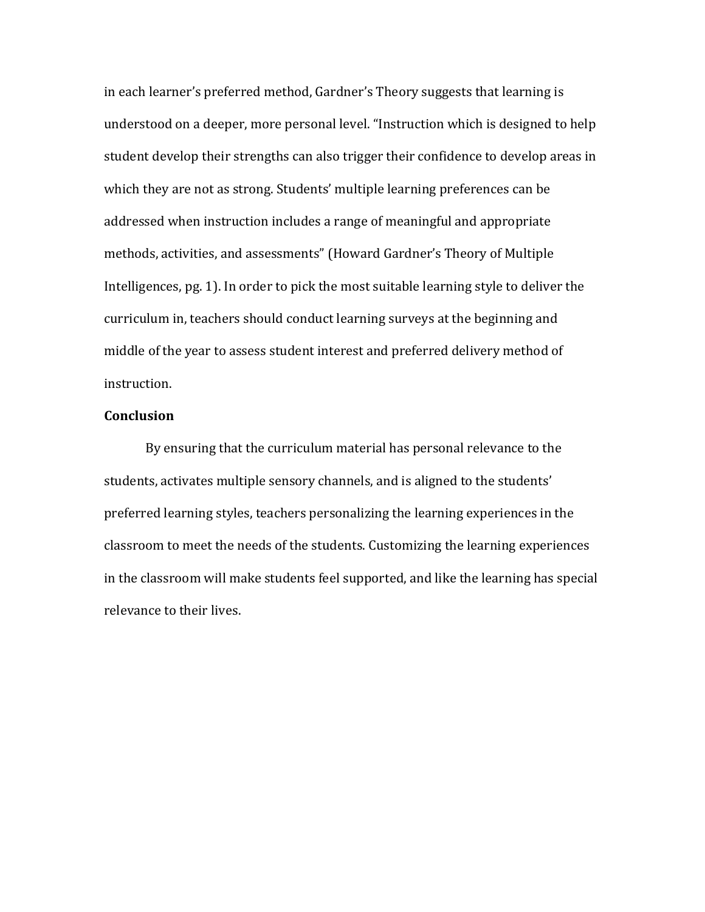in each learner's preferred method, Gardner's Theory suggests that learning is understood on a deeper, more personal level. "Instruction which is designed to help student develop their strengths can also trigger their confidence to develop areas in which they are not as strong. Students' multiple learning preferences can be addressed when instruction includes a range of meaningful and appropriate methods, activities, and assessments" (Howard Gardner's Theory of Multiple Intelligences, pg. 1). In order to pick the most suitable learning style to deliver the curriculum in, teachers should conduct learning surveys at the beginning and middle of the year to assess student interest and preferred delivery method of instruction. 

## **Conclusion**

By ensuring that the curriculum material has personal relevance to the students, activates multiple sensory channels, and is aligned to the students' preferred learning styles, teachers personalizing the learning experiences in the classroom to meet the needs of the students. Customizing the learning experiences in the classroom will make students feel supported, and like the learning has special relevance to their lives.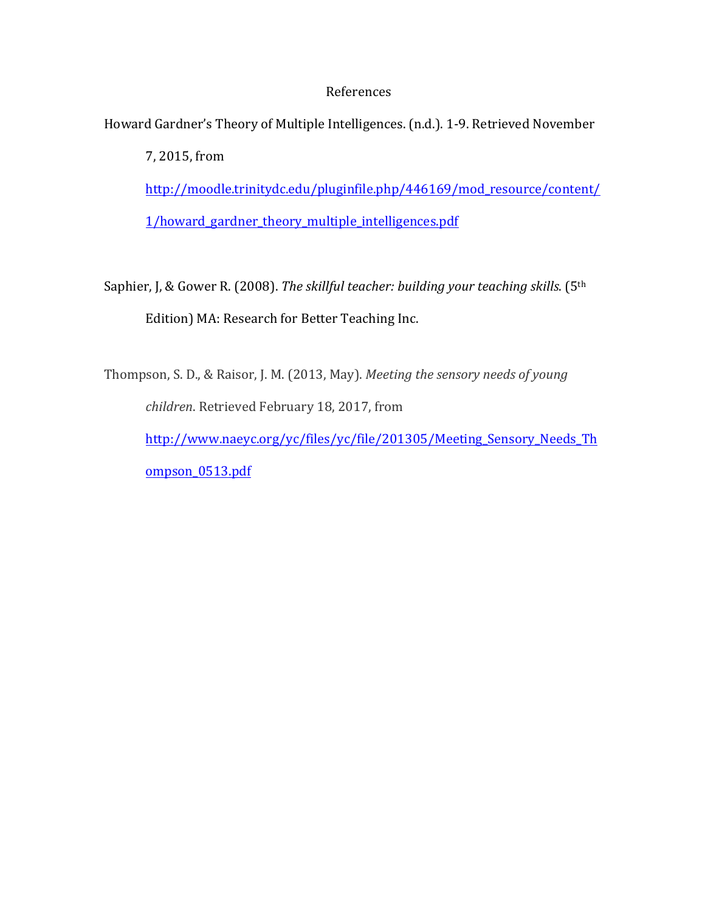## **References**

Howard Gardner's Theory of Multiple Intelligences. (n.d.). 1-9. Retrieved November

7, 2015, from http://moodle.trinitydc.edu/pluginfile.php/446169/mod\_resource/content/ 1/howard\_gardner\_theory\_multiple\_intelligences.pdf 

Saphier, J, & Gower R. (2008). *The skillful teacher: building your teaching skills*. (5<sup>th</sup> Edition) MA: Research for Better Teaching Inc.

Thompson, S. D., & Raisor, J. M. (2013, May). *Meeting the sensory needs of young children*. Retrieved February 18, 2017, from http://www.naeyc.org/yc/files/yc/file/201305/Meeting\_Sensory\_Needs\_Th ompson\_0513.pdf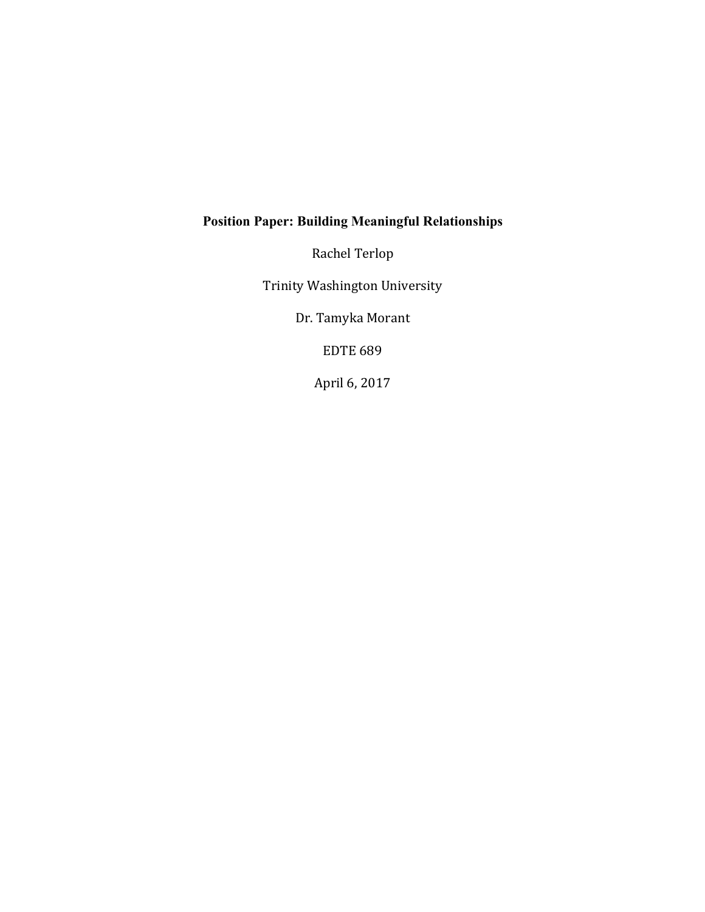## **Position Paper: Building Meaningful Relationships**

Rachel Terlop

Trinity Washington University

Dr. Tamyka Morant

**EDTE 689** 

April 6, 2017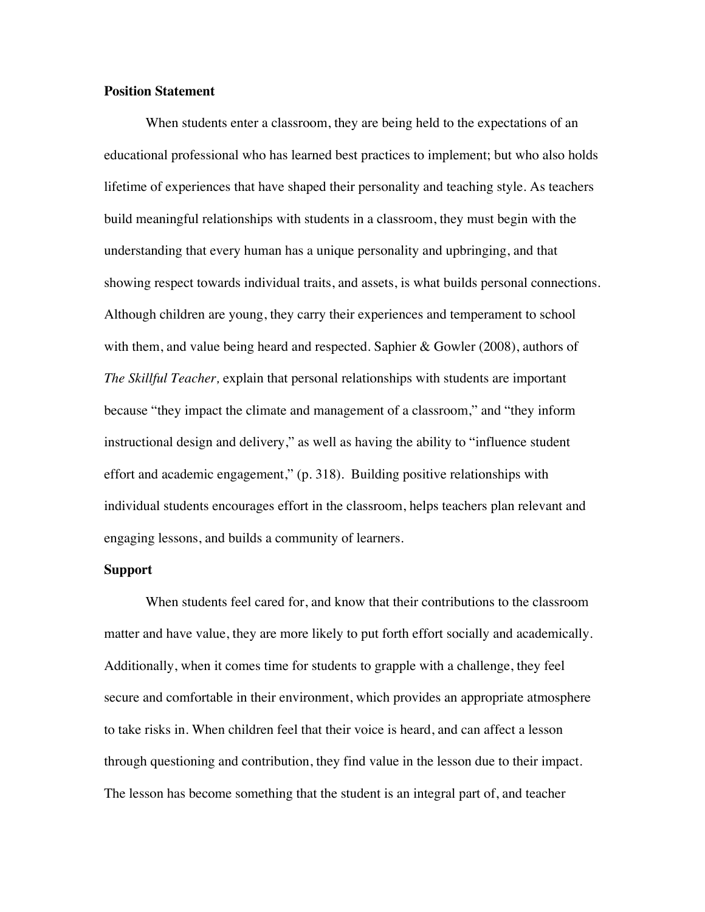### **Position Statement**

When students enter a classroom, they are being held to the expectations of an educational professional who has learned best practices to implement; but who also holds lifetime of experiences that have shaped their personality and teaching style. As teachers build meaningful relationships with students in a classroom, they must begin with the understanding that every human has a unique personality and upbringing, and that showing respect towards individual traits, and assets, is what builds personal connections. Although children are young, they carry their experiences and temperament to school with them, and value being heard and respected. Saphier & Gowler (2008), authors of *The Skillful Teacher,* explain that personal relationships with students are important because "they impact the climate and management of a classroom," and "they inform instructional design and delivery," as well as having the ability to "influence student effort and academic engagement," (p. 318). Building positive relationships with individual students encourages effort in the classroom, helps teachers plan relevant and engaging lessons, and builds a community of learners.

### **Support**

When students feel cared for, and know that their contributions to the classroom matter and have value, they are more likely to put forth effort socially and academically. Additionally, when it comes time for students to grapple with a challenge, they feel secure and comfortable in their environment, which provides an appropriate atmosphere to take risks in. When children feel that their voice is heard, and can affect a lesson through questioning and contribution, they find value in the lesson due to their impact. The lesson has become something that the student is an integral part of, and teacher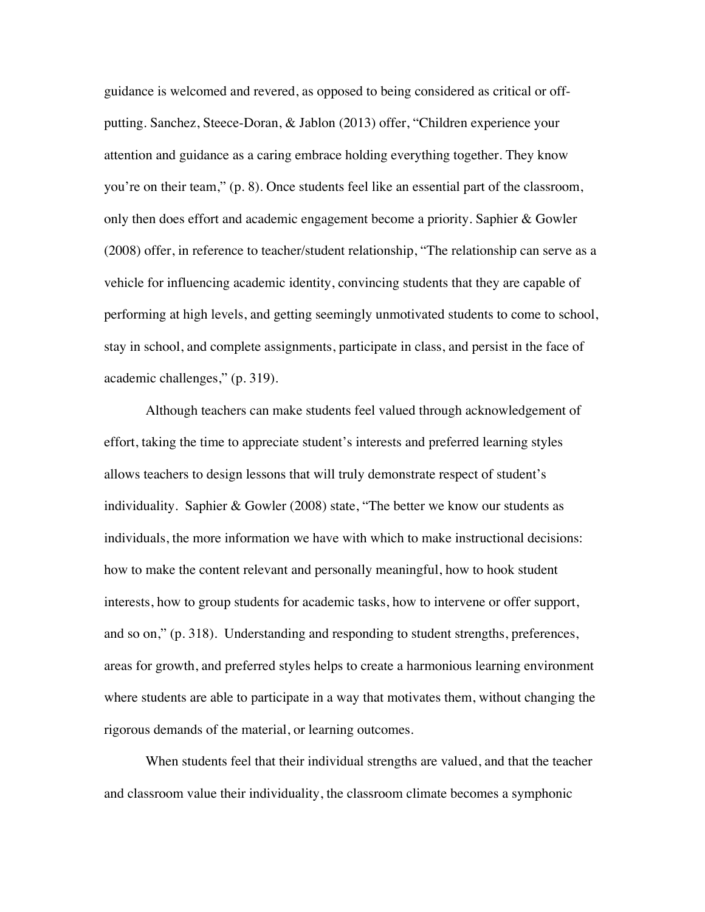guidance is welcomed and revered, as opposed to being considered as critical or offputting. Sanchez, Steece-Doran, & Jablon (2013) offer, "Children experience your attention and guidance as a caring embrace holding everything together. They know you're on their team," (p. 8). Once students feel like an essential part of the classroom, only then does effort and academic engagement become a priority. Saphier & Gowler (2008) offer, in reference to teacher/student relationship, "The relationship can serve as a vehicle for influencing academic identity, convincing students that they are capable of performing at high levels, and getting seemingly unmotivated students to come to school, stay in school, and complete assignments, participate in class, and persist in the face of academic challenges," (p. 319).

Although teachers can make students feel valued through acknowledgement of effort, taking the time to appreciate student's interests and preferred learning styles allows teachers to design lessons that will truly demonstrate respect of student's individuality. Saphier & Gowler (2008) state, "The better we know our students as individuals, the more information we have with which to make instructional decisions: how to make the content relevant and personally meaningful, how to hook student interests, how to group students for academic tasks, how to intervene or offer support, and so on," (p. 318). Understanding and responding to student strengths, preferences, areas for growth, and preferred styles helps to create a harmonious learning environment where students are able to participate in a way that motivates them, without changing the rigorous demands of the material, or learning outcomes.

When students feel that their individual strengths are valued, and that the teacher and classroom value their individuality, the classroom climate becomes a symphonic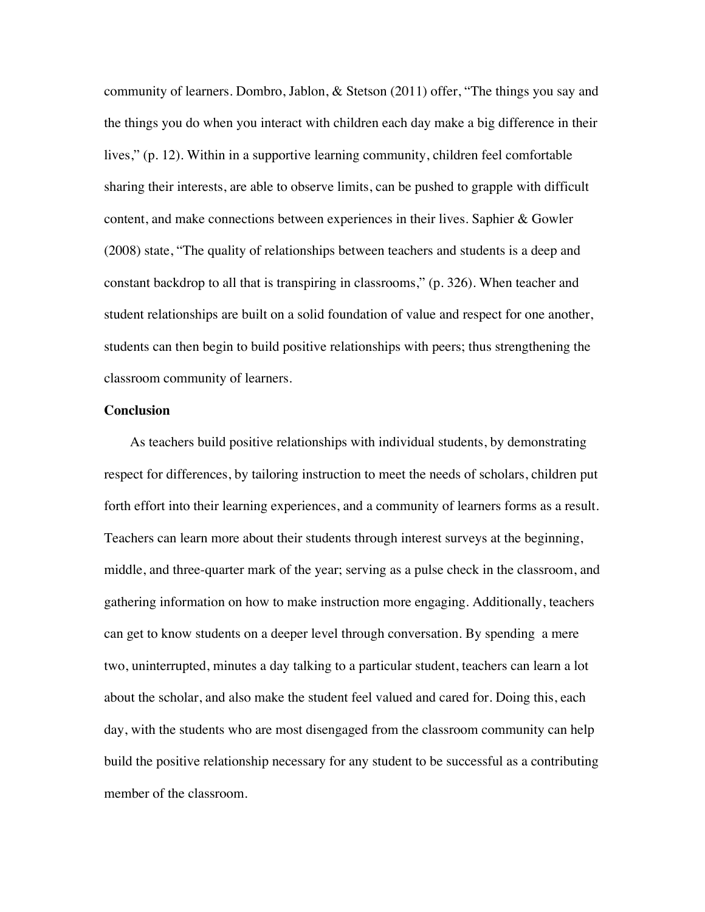community of learners. Dombro, Jablon, & Stetson (2011) offer, "The things you say and the things you do when you interact with children each day make a big difference in their lives," (p. 12). Within in a supportive learning community, children feel comfortable sharing their interests, are able to observe limits, can be pushed to grapple with difficult content, and make connections between experiences in their lives. Saphier & Gowler (2008) state, "The quality of relationships between teachers and students is a deep and constant backdrop to all that is transpiring in classrooms," (p. 326). When teacher and student relationships are built on a solid foundation of value and respect for one another, students can then begin to build positive relationships with peers; thus strengthening the classroom community of learners.

#### **Conclusion**

As teachers build positive relationships with individual students, by demonstrating respect for differences, by tailoring instruction to meet the needs of scholars, children put forth effort into their learning experiences, and a community of learners forms as a result. Teachers can learn more about their students through interest surveys at the beginning, middle, and three-quarter mark of the year; serving as a pulse check in the classroom, and gathering information on how to make instruction more engaging. Additionally, teachers can get to know students on a deeper level through conversation. By spending a mere two, uninterrupted, minutes a day talking to a particular student, teachers can learn a lot about the scholar, and also make the student feel valued and cared for. Doing this, each day, with the students who are most disengaged from the classroom community can help build the positive relationship necessary for any student to be successful as a contributing member of the classroom.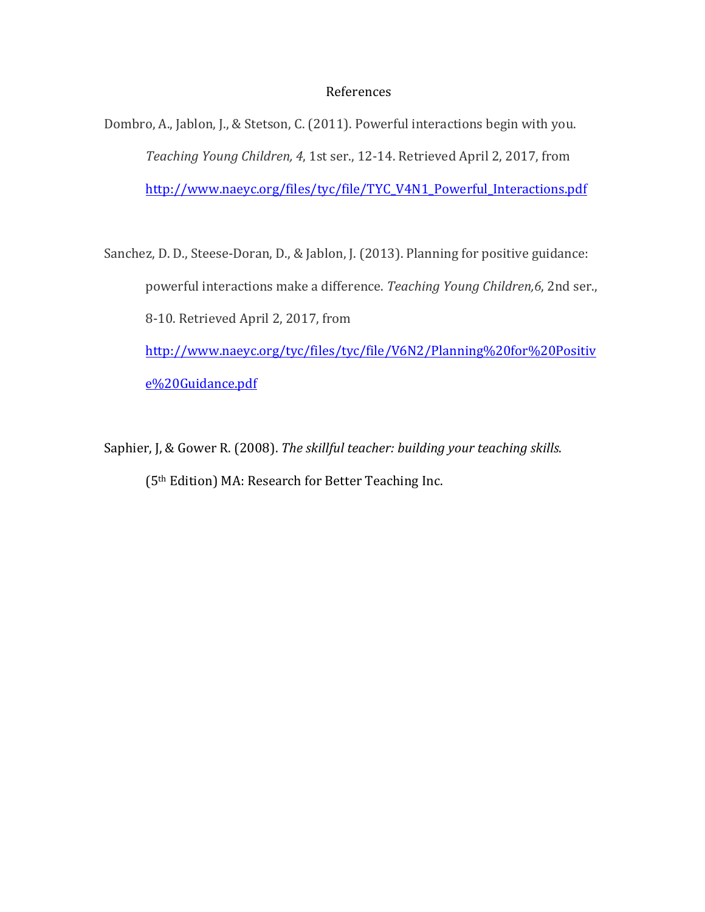### **References**

Dombro, A., Jablon, J., & Stetson, C. (2011). Powerful interactions begin with you. *Teaching Young Children, 4, 1st ser., 12-14. Retrieved April 2, 2017, from* http://www.naeyc.org/files/tyc/file/TYC\_V4N1\_Powerful\_Interactions.pdf

Sanchez, D. D., Steese-Doran, D., & Jablon, J. (2013). Planning for positive guidance: powerful interactions make a difference. *Teaching Young Children,6*, 2nd ser., 8-10. Retrieved April 2, 2017, from http://www.naeyc.org/tyc/files/tyc/file/V6N2/Planning%20for%20Positiv e%20Guidance.pdf

Saphier, J, & Gower R. (2008). The skillful teacher: building your teaching skills. (5<sup>th</sup> Edition) MA: Research for Better Teaching Inc.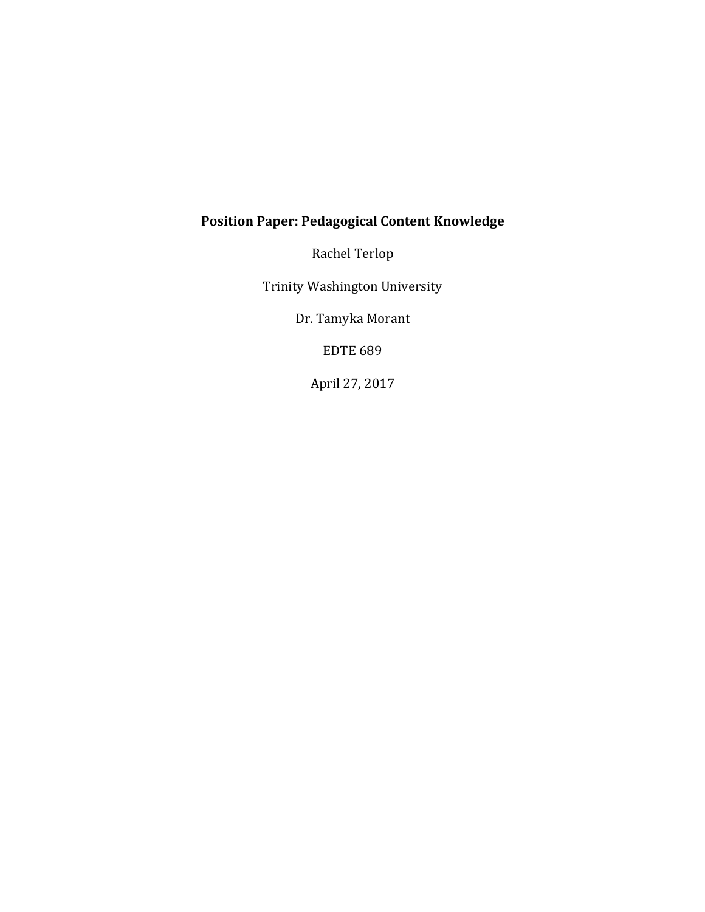# **Position Paper: Pedagogical Content Knowledge**

Rachel Terlop

Trinity Washington University

Dr. Tamyka Morant

**EDTE 689** 

April 27, 2017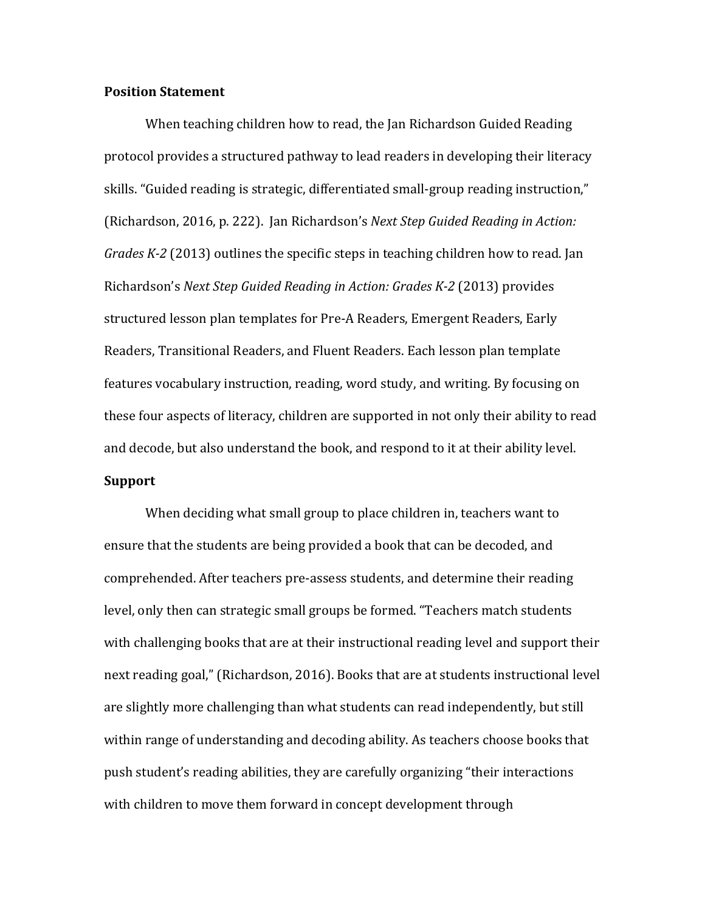### **Position Statement**

When teaching children how to read, the Jan Richardson Guided Reading protocol provides a structured pathway to lead readers in developing their literacy skills. "Guided reading is strategic, differentiated small-group reading instruction," (Richardson, 2016, p. 222). Jan Richardson's *Next Step Guided Reading in Action: Grades K-2* (2013) outlines the specific steps in teaching children how to read. Jan Richardson's *Next Step Guided Reading in Action: Grades K-2* (2013) provides structured lesson plan templates for Pre-A Readers, Emergent Readers, Early Readers, Transitional Readers, and Fluent Readers. Each lesson plan template features vocabulary instruction, reading, word study, and writing. By focusing on these four aspects of literacy, children are supported in not only their ability to read and decode, but also understand the book, and respond to it at their ability level.

## **Support**

When deciding what small group to place children in, teachers want to ensure that the students are being provided a book that can be decoded, and comprehended. After teachers pre-assess students, and determine their reading level, only then can strategic small groups be formed. "Teachers match students with challenging books that are at their instructional reading level and support their next reading goal," (Richardson, 2016). Books that are at students instructional level are slightly more challenging than what students can read independently, but still within range of understanding and decoding ability. As teachers choose books that push student's reading abilities, they are carefully organizing "their interactions with children to move them forward in concept development through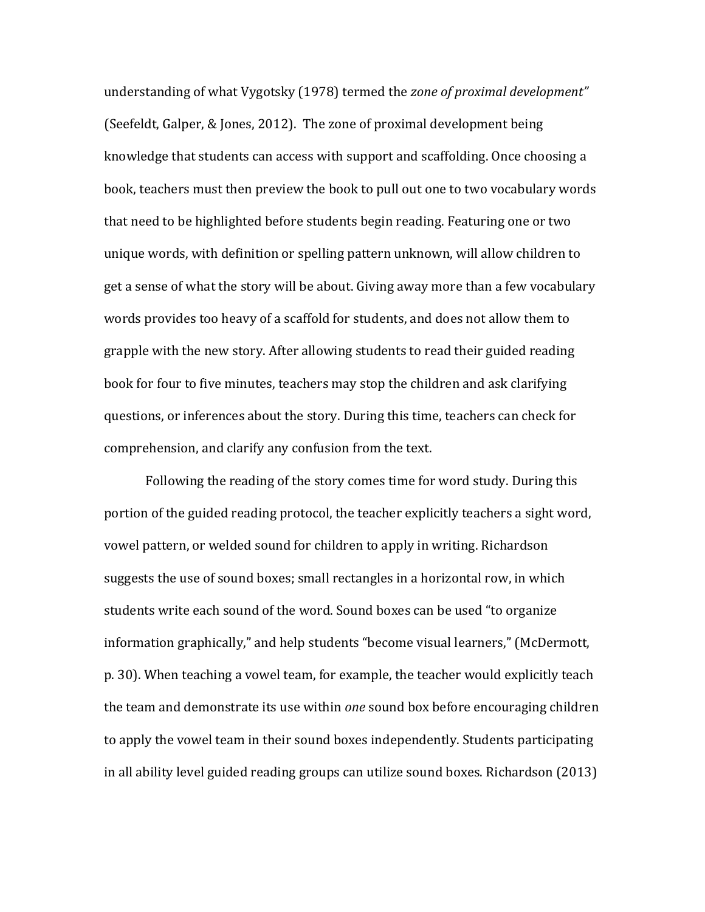understanding of what Vygotsky (1978) termed the *zone of proximal development*" (Seefeldt, Galper, & Jones, 2012). The zone of proximal development being knowledge that students can access with support and scaffolding. Once choosing a book, teachers must then preview the book to pull out one to two vocabulary words that need to be highlighted before students begin reading. Featuring one or two unique words, with definition or spelling pattern unknown, will allow children to get a sense of what the story will be about. Giving away more than a few vocabulary words provides too heavy of a scaffold for students, and does not allow them to grapple with the new story. After allowing students to read their guided reading book for four to five minutes, teachers may stop the children and ask clarifying questions, or inferences about the story. During this time, teachers can check for comprehension, and clarify any confusion from the text.

Following the reading of the story comes time for word study. During this portion of the guided reading protocol, the teacher explicitly teachers a sight word, vowel pattern, or welded sound for children to apply in writing. Richardson suggests the use of sound boxes; small rectangles in a horizontal row, in which students write each sound of the word. Sound boxes can be used "to organize information graphically," and help students "become visual learners," (McDermott, p. 30). When teaching a vowel team, for example, the teacher would explicitly teach the team and demonstrate its use within *one* sound box before encouraging children to apply the vowel team in their sound boxes independently. Students participating in all ability level guided reading groups can utilize sound boxes. Richardson (2013)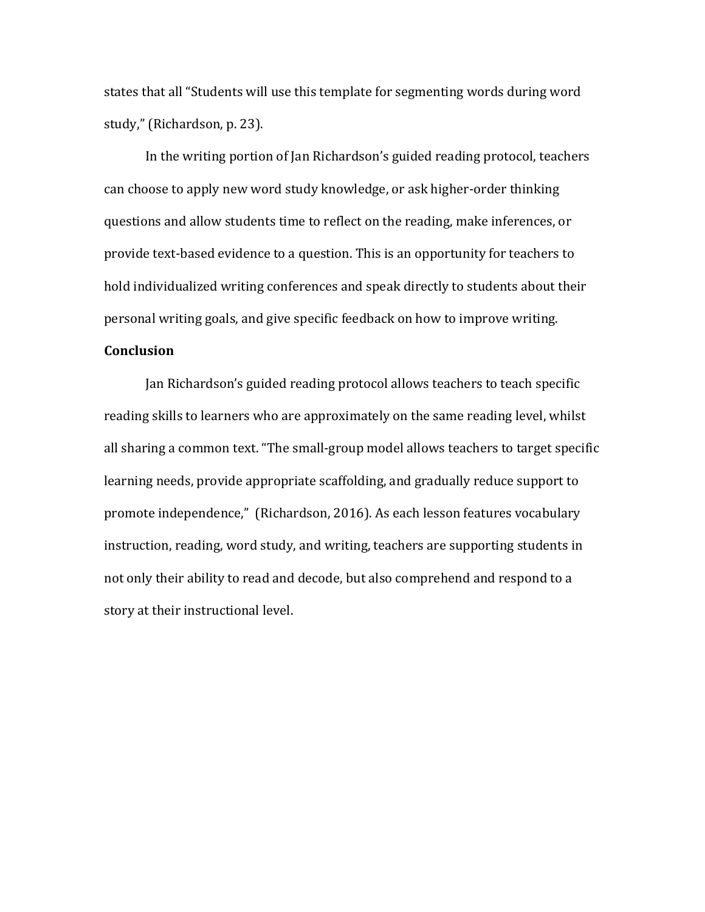states that all "Students will use this template for segmenting words during word study," (Richardson, p. 23).

In the writing portion of Jan Richardson's guided reading protocol, teachers can choose to apply new word study knowledge, or ask higher-order thinking questions and allow students time to reflect on the reading, make inferences, or provide text-based evidence to a question. This is an opportunity for teachers to hold individualized writing conferences and speak directly to students about their personal writing goals, and give specific feedback on how to improve writing.

## **Conclusion**

Jan Richardson's guided reading protocol allows teachers to teach specific reading skills to learners who are approximately on the same reading level, whilst all sharing a common text. "The small-group model allows teachers to target specific learning needs, provide appropriate scaffolding, and gradually reduce support to promote independence," (Richardson, 2016). As each lesson features vocabulary instruction, reading, word study, and writing, teachers are supporting students in not only their ability to read and decode, but also comprehend and respond to a story at their instructional level.